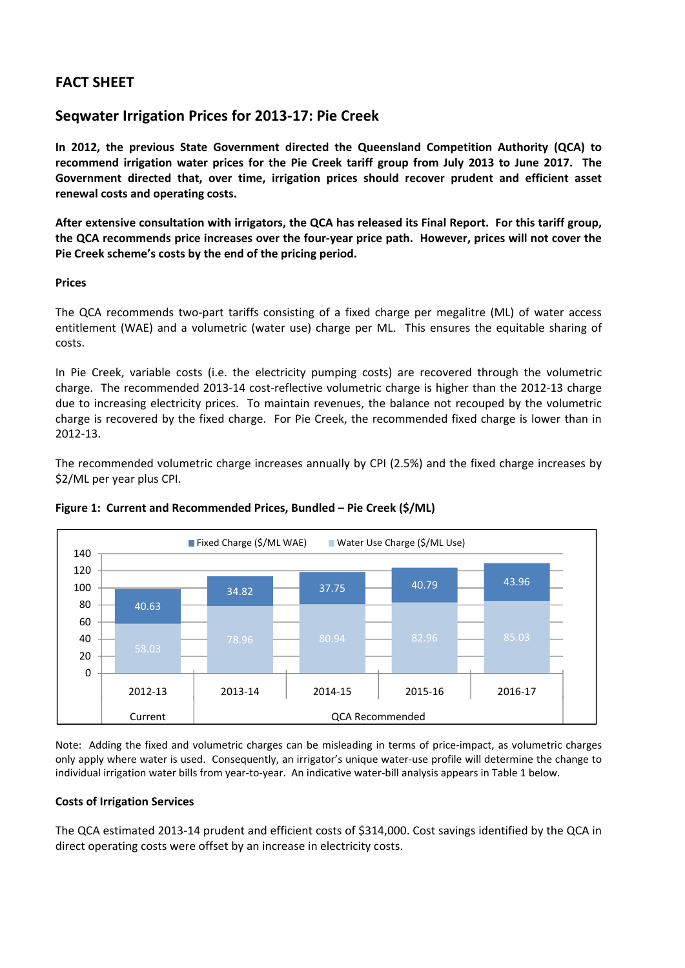# **FACT SHEET**

## **Seqwater Irrigation Prices for 2013‐17: Pie Creek**

**In 2012, the previous State Government directed the Queensland Competition Authority (QCA) to** recommend irrigation water prices for the Pie Creek tariff group from July 2013 to June 2017. The **Government directed that, over time, irrigation prices should recover prudent and efficient asset renewal costs and operating costs.**

After extensive consultation with irrigators, the QCA has released its Final Report. For this tariff group, the QCA recommends price increases over the four-year price path. However, prices will not cover the **Pie Creek scheme's costs by the end of the pricing period.**

### **Prices**

The QCA recommends two-part tariffs consisting of a fixed charge per megalitre (ML) of water access entitlement (WAE) and a volumetric (water use) charge per ML. This ensures the equitable sharing of costs.

In Pie Creek, variable costs (i.e. the electricity pumping costs) are recovered through the volumetric charge. The recommended 2013‐14 cost‐reflective volumetric charge is higher than the 2012‐13 charge due to increasing electricity prices. To maintain revenues, the balance not recouped by the volumetric charge is recovered by the fixed charge. For Pie Creek, the recommended fixed charge is lower than in 2012‐13.

The recommended volumetric charge increases annually by CPI (2.5%) and the fixed charge increases by \$2/ML per year plus CPI.





Note: Adding the fixed and volumetric charges can be misleading in terms of price‐impact, as volumetric charges only apply where water is used. Consequently, an irrigator's unique water‐use profile will determine the change to individual irrigation water bills from year‐to‐year. An indicative water‐bill analysis appears in Table 1 below.

### **Costs of Irrigation Services**

The QCA estimated 2013-14 prudent and efficient costs of \$314,000. Cost savings identified by the QCA in direct operating costs were offset by an increase in electricity costs.